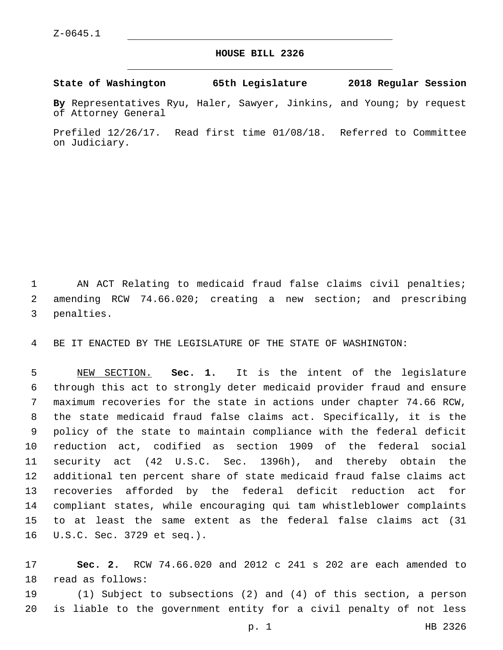## **HOUSE BILL 2326**

**State of Washington 65th Legislature 2018 Regular Session**

**By** Representatives Ryu, Haler, Sawyer, Jinkins, and Young; by request of Attorney General

Prefiled 12/26/17. Read first time 01/08/18. Referred to Committee on Judiciary.

 AN ACT Relating to medicaid fraud false claims civil penalties; amending RCW 74.66.020; creating a new section; and prescribing 3 penalties.

BE IT ENACTED BY THE LEGISLATURE OF THE STATE OF WASHINGTON:

 NEW SECTION. **Sec. 1.** It is the intent of the legislature through this act to strongly deter medicaid provider fraud and ensure maximum recoveries for the state in actions under chapter 74.66 RCW, the state medicaid fraud false claims act. Specifically, it is the policy of the state to maintain compliance with the federal deficit reduction act, codified as section 1909 of the federal social security act (42 U.S.C. Sec. 1396h), and thereby obtain the additional ten percent share of state medicaid fraud false claims act recoveries afforded by the federal deficit reduction act for compliant states, while encouraging qui tam whistleblower complaints to at least the same extent as the federal false claims act (31 U.S.C. Sec. 3729 et seq.).

 **Sec. 2.** RCW 74.66.020 and 2012 c 241 s 202 are each amended to 18 read as follows:

 (1) Subject to subsections (2) and (4) of this section, a person is liable to the government entity for a civil penalty of not less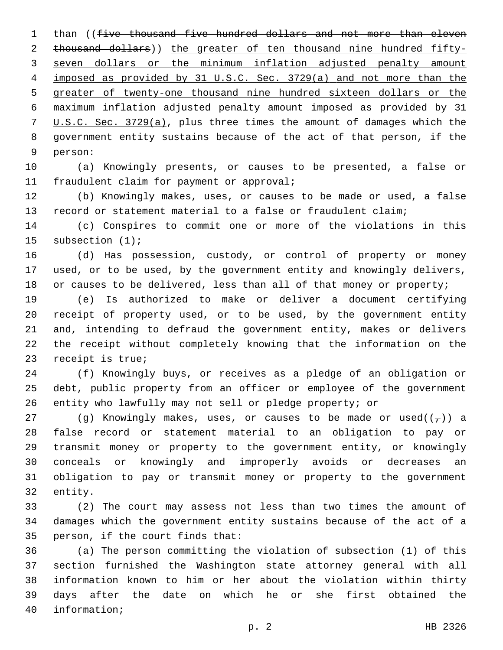1 than ((five thousand five hundred dollars and not more than eleven thousand dollars)) the greater of ten thousand nine hundred fifty- seven dollars or the minimum inflation adjusted penalty amount imposed as provided by 31 U.S.C. Sec. 3729(a) and not more than the greater of twenty-one thousand nine hundred sixteen dollars or the maximum inflation adjusted penalty amount imposed as provided by 31 U.S.C. Sec. 3729(a), plus three times the amount of damages which the government entity sustains because of the act of that person, if the 9 person:

 (a) Knowingly presents, or causes to be presented, a false or 11 fraudulent claim for payment or approval;

 (b) Knowingly makes, uses, or causes to be made or used, a false record or statement material to a false or fraudulent claim;

 (c) Conspires to commit one or more of the violations in this 15 subsection (1);

 (d) Has possession, custody, or control of property or money used, or to be used, by the government entity and knowingly delivers, 18 or causes to be delivered, less than all of that money or property;

 (e) Is authorized to make or deliver a document certifying receipt of property used, or to be used, by the government entity and, intending to defraud the government entity, makes or delivers the receipt without completely knowing that the information on the 23 receipt is true;

 (f) Knowingly buys, or receives as a pledge of an obligation or debt, public property from an officer or employee of the government entity who lawfully may not sell or pledge property; or

27 (g) Knowingly makes, uses, or causes to be made or used( $(\tau)$ ) a false record or statement material to an obligation to pay or transmit money or property to the government entity, or knowingly conceals or knowingly and improperly avoids or decreases an obligation to pay or transmit money or property to the government 32 entity.

 (2) The court may assess not less than two times the amount of damages which the government entity sustains because of the act of a 35 person, if the court finds that:

 (a) The person committing the violation of subsection (1) of this section furnished the Washington state attorney general with all information known to him or her about the violation within thirty days after the date on which he or she first obtained the 40 information;